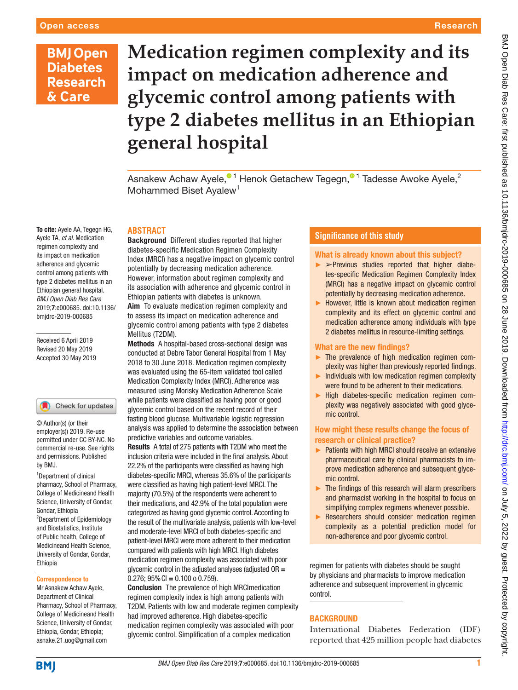# **BMJ Open Diabetes Research** & Care

To cite: Ayele AA, Tegegn HG, Ayele TA, *et al*. Medication regimen complexity and its impact on medication adherence and glycemic control among patients with type 2 diabetes mellitus in an Ethiopian general hospital. *BMJ Open Diab Res Care* 2019;7:e000685. doi:10.1136/ bmjdrc-2019-000685

# **Medication regimen complexity and its impact on medication adherence and glycemic control among patients with type 2 diabetes mellitus in an Ethiopian general hospital**

Asnakew Achaw Ayele[,](http://orcid.org/0000-0003-0644-0958)<sup>® 1</sup> Henok Getachew Tegegn,<sup>® 1</sup> Tadesse Awoke Ayele,<sup>2</sup> Mohammed Biset Avalew<sup>1</sup>

## **Abstract**

Background Different studies reported that higher diabetes-specific Medication Regimen Complexity Index (MRCI) has a negative impact on glycemic control potentially by decreasing medication adherence. However, information about regimen complexity and its association with adherence and glycemic control in Ethiopian patients with diabetes is unknown.

Aim To evaluate medication regimen complexity and to assess its impact on medication adherence and glycemic control among patients with type 2 diabetes Mellitus (T2DM).

Methods A hospital-based cross-sectional design was conducted at Debre Tabor General Hospital from 1 May 2018 to 30 June 2018. Medication regimen complexity was evaluated using the 65-item validated tool called Medication Complexity Index (MRCI). Adherence was measured using Morisky Medication Adherence Scale while patients were classified as having poor or good glycemic control based on the recent record of their fasting blood glucose. Multivariable logistic regression analysis was applied to determine the association between predictive variables and outcome variables.

Results A total of 275 patients with T2DM who meet the inclusion criteria were included in the final analysis. About 22.2% of the participants were classified as having high diabetes-specific MRCI, whereas 35.6% of the participants were classified as having high patient-level MRCI. The majority (70.5%) of the respondents were adherent to their medications, and 42.9% of the total population were categorized as having good glycemic control. According to the result of the multivariate analysis, patients with low-level and moderate-level MRCI of both diabetes-specific and patient-level MRCI were more adherent to their medication compared with patients with high MRCI. High diabetes medication regimen complexity was associated with poor glycemic control in the adjusted analyses (adjusted  $OR =$  $0.276$ ; 95% CI = 0.100 o 0.759).

Conclusion The prevalence of high MRCImedication regimen complexity index is high among patients with T2DM. Patients with low and moderate regimen complexity had improved adherence. High diabetes-specific medication regimen complexity was associated with poor glycemic control. Simplification of a complex medication

# **Significance of this study**

## What is already known about this subject?

- ► ➢Previous studies reported that higher diabetes-specific Medication Regimen Complexity Index (MRCI) has a negative impact on glycemic control potentially by decreasing medication adherence.
- ► However, little is known about medication regimen complexity and its effect on glycemic control and medication adherence among individuals with type 2 diabetes mellitus in resource-limiting settings.

## What are the new findings?

- ► The prevalence of high medication regimen complexity was higher than previously reported findings.
- ► Individuals with low medication regimen complexity were found to be adherent to their medications.
- ► High diabetes-specific medication regimen complexity was negatively associated with good glycemic control.

# How might these results change the focus of research or clinical practice?

- ► Patients with high MRCI should receive an extensive pharmaceutical care by clinical pharmacists to improve medication adherence and subsequent glycemic control.
- ► The findings of this research will alarm prescribers and pharmacist working in the hospital to focus on simplifying complex regimens whenever possible.
- ► Researchers should consider medication regimen complexity as a potential prediction model for non-adherence and poor glycemic control.

regimen for patients with diabetes should be sought by physicians and pharmacists to improve medication adherence and subsequent improvement in glycemic control.

# **BACKGROUND**

International Diabetes Federation (IDF) reported that 425 million people had diabetes

Ethiopia

Correspondence to Mr Asnakew Achaw Ayele, Department of Clinical Pharmacy, School of Pharmacy, College of Medicineand Health Science, University of Gondar, Ethiopia, Gondar, Ethiopia; asnake.21.uog@gmail.com

<sup>1</sup>Department of clinical pharmacy, School of Pharmacy, College of Medicineand Health Science, University of Gondar,

© Author(s) (or their employer(s)) 2019. Re-use permitted under CC BY-NC. No commercial re-use. See rights and permissions. Published

Check for updates

Received 6 April 2019 Revised 20 May 2019 Accepted 30 May 2019

2 Department of Epidemiology and Biostatistics, Institute of Public health, College of Medicineand Health Science, University of Gondar, Gondar,

Gondar, Ethiopia

by BMJ.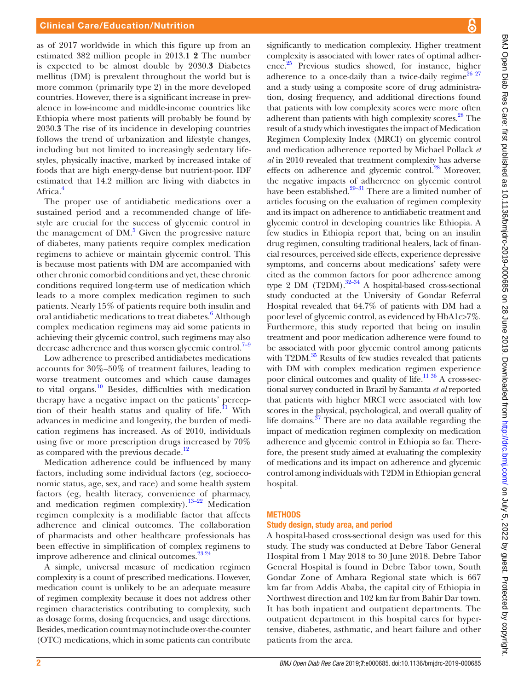as of 2017 worldwide in which this figure up from an estimated 382 million people in 2013.**[1 2](#page-8-0)** The number is expected to be almost double by 2030.**[3](#page-9-0)** Diabetes mellitus (DM) is prevalent throughout the world but is more common (primarily type 2) in the more developed countries. However, there is a significant increase in prevalence in low-income and middle-income countries like Ethiopia where most patients will probably be found by 2030.**[3](#page-9-0)** The rise of its incidence in developing countries follows the trend of urbanization and lifestyle changes, including but not limited to increasingly sedentary lifestyles, physically inactive, marked by increased intake of foods that are high energy-dense but nutrient-poor. IDF estimated that 14.2 million are living with diabetes in Africa.<sup>[4](#page-9-1)</sup>

The proper use of antidiabetic medications over a sustained period and a recommended change of lifestyle are crucial for the success of glycemic control in the management of  $DM<sup>5</sup>$  $DM<sup>5</sup>$  $DM<sup>5</sup>$  Given the progressive nature of diabetes, many patients require complex medication regimens to achieve or maintain glycemic control. This is because most patients with DM are accompanied with other chronic comorbid conditions and yet, these chronic conditions required long-term use of medication which leads to a more complex medication regimen to such patients. Nearly 15% of patients require both insulin and oral antidiabetic medications to treat diabetes.<sup>[6](#page-9-3)</sup> Although complex medication regimens may aid some patients in achieving their glycemic control, such regimens may also decrease adherence and thus worsen glycemic control.<sup>[7–9](#page-9-4)</sup>

Low adherence to prescribed antidiabetes medications accounts for 30%–50% of treatment failures, leading to worse treatment outcomes and which cause damages to vital organs.<sup>10</sup> Besides, difficulties with medication therapy have a negative impact on the patients' percep-tion of their health status and quality of life.<sup>[11](#page-9-6)</sup> With advances in medicine and longevity, the burden of medication regimens has increased. As of 2010, individuals using five or more prescription drugs increased by 70% as compared with the previous decade.<sup>[12](#page-9-7)</sup>

Medication adherence could be influenced by many factors, including some individual factors (eg, socioeconomic status, age, sex, and race) and some health system factors (eg, health literacy, convenience of pharmacy, and medication regimen complexity).<sup>[13–22](#page-9-8)</sup> Medication regimen complexity is a modifiable factor that affects adherence and clinical outcomes. The collaboration of pharmacists and other healthcare professionals has been effective in simplification of complex regimens to improve adherence and clinical outcomes.<sup>[23 24](#page-9-9)</sup>

A simple, universal measure of medication regimen complexity is a count of prescribed medications. However, medication count is unlikely to be an adequate measure of regimen complexity because it does not address other regimen characteristics contributing to complexity, such as dosage forms, dosing frequencies, and usage directions. Besides, medication count may not include over-the-counter (OTC) medications, which in some patients can contribute

significantly to medication complexity. Higher treatment complexity is associated with lower rates of optimal adherence.<sup>25</sup> Previous studies showed, for instance, higher adherence to a once-daily than a twice-daily regime<sup>[26 27](#page-9-11)</sup> and a study using a composite score of drug administration, dosing frequency, and additional directions found that patients with low complexity scores were more often adherent than patients with high complexity scores.<sup>28</sup> The result of a study which investigates the impact of Medication Regimen Complexity Index (MRCI) on glycemic control and medication adherence reported by Michael Pollack *et al* in 2010 revealed that treatment complexity has adverse effects on adherence and glycemic control.<sup>28</sup> Moreover, the negative impacts of adherence on glycemic control have been established.<sup>29–31</sup> There are a limited number of articles focusing on the evaluation of regimen complexity and its impact on adherence to antidiabetic treatment and glycemic control in developing countries like Ethiopia. A few studies in Ethiopia report that, being on an insulin drug regimen, consulting traditional healers, lack of financial resources, perceived side effects, experience depressive symptoms, and concerns about medications' safety were cited as the common factors for poor adherence among type 2 DM  $(T2DM)$ .<sup>32–34</sup> A hospital-based cross-sectional study conducted at the University of Gondar Referral Hospital revealed that 64.7% of patients with DM had a poor level of glycemic control, as evidenced by HbA1c>7%. Furthermore, this study reported that being on insulin treatment and poor medication adherence were found to be associated with poor glycemic control among patients with T2DM.<sup>[35](#page-9-15)</sup> Results of few studies revealed that patients with DM with complex medication regimen experience poor clinical outcomes and quality of life.<sup>[11 36](#page-9-6)</sup> A cross-sectional survey conducted in Brazil by Samanta *et al* reported that patients with higher MRCI were associated with low scores in the physical, psychological, and overall quality of life domains.<sup>37</sup> There are no data available regarding the impact of medication regimen complexity on medication adherence and glycemic control in Ethiopia so far. Therefore, the present study aimed at evaluating the complexity of medications and its impact on adherence and glycemic control among individuals with T2DM in Ethiopian general hospital.

# **METHODS**

# Study design, study area, and period

A hospital-based cross-sectional design was used for this study. The study was conducted at Debre Tabor General Hospital from 1 May 2018 to 30 June 2018. Debre Tabor General Hospital is found in Debre Tabor town, South Gondar Zone of Amhara Regional state which is 667 km far from Addis Ababa, the capital city of Ethiopia in Northwest direction and 102 km far from Bahir Dar town. It has both inpatient and outpatient departments. The outpatient department in this hospital cares for hypertensive, diabetes, asthmatic, and heart failure and other patients from the area.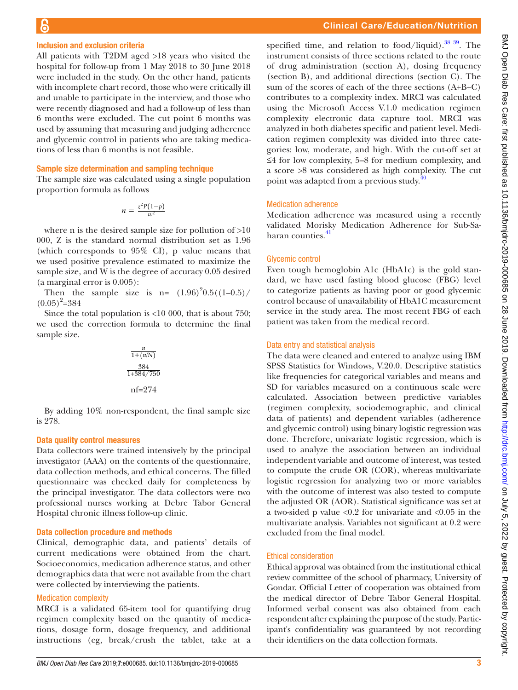# Clinical Care/Education/Nutrition

# Inclusion and exclusion criteria

All patients with T2DM aged >18 years who visited the hospital for follow-up from 1 May 2018 to 30 June 2018 were included in the study. On the other hand, patients with incomplete chart record, those who were critically ill and unable to participate in the interview, and those who were recently diagnosed and had a follow-up of less than 6 months were excluded. The cut point 6 months was used by assuming that measuring and judging adherence and glycemic control in patients who are taking medications of less than 6 months is not feasible.

## Sample size determination and sampling technique

The sample size was calculated using a single population proportion formula as follows

$$
n = \frac{z^2 P(1-p)}{w^2}
$$

where n is the desired sample size for pollution of >10 000, Z is the standard normal distribution set as 1.96 (which corresponds to  $95\%$  CI), p value means that we used positive prevalence estimated to maximize the sample size, and W is the degree of accuracy 0.05 desired (a marginal error is 0.005):

Then the sample size is  $n = (1.96)^2 0.5((1 - 0.5) /$  $(0.05)^2$ =384

Since the total population is <10 000, that is about 750; we used the correction formula to determine the final sample size.

$$
\frac{n}{1 + (n/N)}
$$
  

$$
\frac{384}{1 + 384/750}
$$
  
nf=274

By adding 10% non-respondent, the final sample size is 278.

### Data quality control measures

Data collectors were trained intensively by the principal investigator (AAA) on the contents of the questionnaire, data collection methods, and ethical concerns. The filled questionnaire was checked daily for completeness by the principal investigator. The data collectors were two professional nurses working at Debre Tabor General Hospital chronic illness follow-up clinic.

#### Data collection procedure and methods

Clinical, demographic data, and patients' details of current medications were obtained from the chart. Socioeconomics, medication adherence status, and other demographics data that were not available from the chart were collected by interviewing the patients.

## Medication complexity

MRCI is a validated 65-item tool for quantifying drug regimen complexity based on the quantity of medications, dosage form, dosage frequency, and additional instructions (eg, break/crush the tablet, take at a

specified time, and relation to food/liquid).<sup>[38 39](#page-9-17)</sup>. The instrument consists of three sections related to the route of drug administration (section A), dosing frequency (section B), and additional directions (section C). The sum of the scores of each of the three sections (A+B+C) contributes to a complexity index. MRCI was calculated using the Microsoft Access V.1.0 medication regimen complexity electronic data capture tool. MRCI was analyzed in both diabetes specific and patient level. Medication regimen complexity was divided into three categories: low, moderate, and high. With the cut-off set at ≤4 for low complexity, 5–8 for medium complexity, and a score >8 was considered as high complexity. The cut point was adapted from a previous study.<sup>4</sup>

### Medication adherence

Medication adherence was measured using a recently validated Morisky Medication Adherence for Sub-Saharan counties.<sup>41</sup>

# Glycemic control

Even tough hemoglobin A1c (HbA1c) is the gold standard, we have used fasting blood glucose (FBG) level to categorize patients as having poor or good glycemic control because of unavailability of HbA1C measurement service in the study area. The most recent FBG of each patient was taken from the medical record.

#### Data entry and statistical analysis

The data were cleaned and entered to analyze using IBM SPSS Statistics for Windows, V.20.0. Descriptive statistics like frequencies for categorical variables and means and SD for variables measured on a continuous scale were calculated. Association between predictive variables (regimen complexity, sociodemographic, and clinical data of patients) and dependent variables (adherence and glycemic control) using binary logistic regression was done. Therefore, univariate logistic regression, which is used to analyze the association between an individual independent variable and outcome of interest, was tested to compute the crude OR (COR), whereas multivariate logistic regression for analyzing two or more variables with the outcome of interest was also tested to compute the adjusted OR (AOR). Statistical significance was set at a two-sided p value <0.2 for univariate and <0.05 in the multivariate analysis. Variables not significant at 0.2 were excluded from the final model.

#### Ethical consideration

Ethical approval was obtained from the institutional ethical review committee of the school of pharmacy, University of Gondar. Official Letter of cooperation was obtained from the medical director of Debre Tabor General Hospital. Informed verbal consent was also obtained from each respondent after explaining the purpose of the study. Participant's confidentiality was guaranteed by not recording their identifiers on the data collection formats.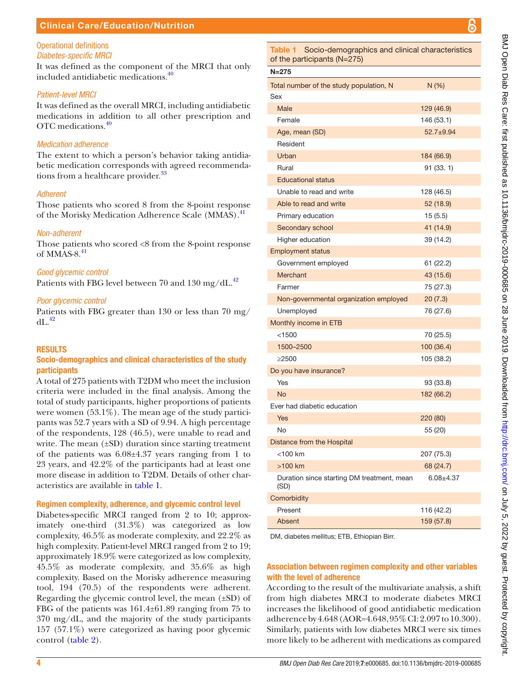# Clinical Care/Education/Nutrition

# Operational definitions *Diabetes-specific MRCI*

It was defined as the component of the MRCI that only included antidiabetic medications.<sup>[40](#page-9-18)</sup>

# *Patient-level MRCI*

It was defined as the overall MRCI, including antidiabetic medications in addition to all other prescription and OTC medications.[40](#page-9-18)

# *Medication adherence*

The extent to which a person's behavior taking antidiabetic medication corresponds with agreed recommenda-tions from a healthcare provider.<sup>[33](#page-9-20)</sup>

# *Adherent*

Those patients who scored 8 from the 8-point response of the Morisky Medication Adherence Scale (MMAS).<sup>41</sup>

# *Non-adherent*

Those patients who scored <8 from the 8-point response of MMAS- $8.41$  $8.41$ 

# *Good glycemic control*

Patients with FBG level between 70 and 130 mg/dL.<sup>[42](#page-9-21)</sup>

# *Poor glycemic control*

Patients with FBG greater than 130 or less than 70 mg/  $dL<sup>42</sup>$  $dL<sup>42</sup>$  $dL<sup>42</sup>$ 

# **RESULTS**

# Socio-demographics and clinical characteristics of the study participants

A total of 275 patients with T2DM who meet the inclusion criteria were included in the final analysis. Among the total of study participants, higher proportions of patients were women (53.1%). The mean age of the study participants was 52.7 years with a SD of 9.94. A high percentage of the respondents, 128 (46.5), were unable to read and write. The mean ( $\pm SD$ ) duration since starting treatment of the patients was 6.08±4.37 years ranging from 1 to 23 years, and 42.2% of the participants had at least one more disease in addition to T2DM. Details of other characteristics are available in [table](#page-3-0) 1.

# Regimen complexity, adherence, and glycemic control level

Diabetes-specific MRCI ranged from 2 to 10; approximately one-third (31.3%) was categorized as low complexity, 46.5% as moderate complexity, and 22.2% as high complexity. Patient-level MRCI ranged from 2 to 19; approximately 18.9% were categorized as low complexity, 45.5% as moderate complexity, and 35.6% as high complexity. Based on the Morisky adherence measuring tool, 194 (70.5) of the respondents were adherent. Regarding the glycemic control level, the mean (±SD) of FBG of the patients was 161.4±61.89 ranging from 75 to 370 mg/dL, and the majority of the study participants 157 (57.1%) were categorized as having poor glycemic control ([table](#page-4-0) 2).

<span id="page-3-0"></span>Table 1 Socio-demographics and clinical characteristics of the participants (N=275)

 $N = 275$ 

| ט וא=צו                                            |               |  |
|----------------------------------------------------|---------------|--|
| Total number of the study population, N            | N(% )         |  |
| Sex                                                |               |  |
| Male                                               | 129 (46.9)    |  |
| Female                                             | 146 (53.1)    |  |
| Age, mean (SD)                                     | $52.7 + 9.94$ |  |
| Resident                                           |               |  |
| Urban                                              | 184 (66.9)    |  |
| Rural                                              | 91 (33.1)     |  |
| <b>Educational status</b>                          |               |  |
| Unable to read and write                           | 128 (46.5)    |  |
| Able to read and write                             | 52 (18.9)     |  |
| Primary education                                  | 15 (5.5)      |  |
| Secondary school                                   | 41 (14.9)     |  |
| Higher education                                   | 39 (14.2)     |  |
| <b>Employment status</b>                           |               |  |
| Government employed                                | 61 (22.2)     |  |
| Merchant                                           | 43 (15.6)     |  |
| Farmer                                             | 75 (27.3)     |  |
| Non-governmental organization employed             | 20(7.3)       |  |
| Unemployed                                         | 76 (27.6)     |  |
| Monthly income in ETB                              |               |  |
| $<$ 1500                                           | 70 (25.5)     |  |
| 1500-2500                                          | 100 (36.4)    |  |
| >2500                                              | 105 (38.2)    |  |
| Do you have insurance?                             |               |  |
| Yes                                                | 93 (33.8)     |  |
| <b>No</b>                                          | 182 (66.2)    |  |
| Ever had diabetic education                        |               |  |
| <b>Yes</b>                                         | 220 (80)      |  |
| <b>No</b>                                          | 55 (20)       |  |
| Distance from the Hospital                         |               |  |
| <100 km                                            | 207 (75.3)    |  |
| $>100$ km                                          | 68 (24.7)     |  |
| Duration since starting DM treatment, mean<br>(SD) | $6.08 + 4.37$ |  |
| Comorbidity                                        |               |  |
| Present                                            | 116 (42.2)    |  |
| Absent                                             | 159 (57.8)    |  |

DM, diabetes mellitus; ETB, Ethiopian Birr.

# Association between regimen complexity and other variables with the level of adherence

According to the result of the multivariate analysis, a shift from high diabetes MRCI to moderate diabetes MRCI increases the likelihood of good antidiabetic medication adherence by 4.648 (AOR=4.648, 95% CI: 2.097 to 10.300). Similarly, patients with low diabetes MRCI were six times more likely to be adherent with medications as compared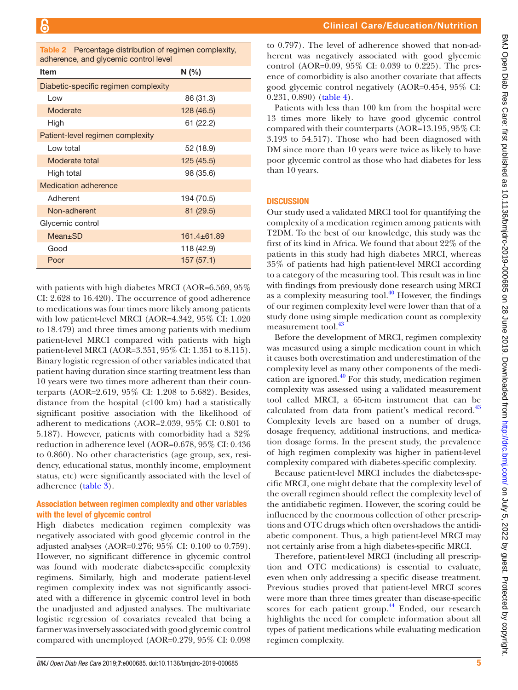<span id="page-4-0"></span>

| <b>Table 2</b> Percentage distribution of regimen complexity, |
|---------------------------------------------------------------|
| adherence, and glycemic control level                         |

| Item                                 | N(%)              |
|--------------------------------------|-------------------|
| Diabetic-specific regimen complexity |                   |
| l ow                                 | 86 (31.3)         |
| Moderate                             | 128 (46.5)        |
| High                                 | 61 (22.2)         |
| Patient-level regimen complexity     |                   |
| Low total                            | 52 (18.9)         |
| Moderate total                       | 125(45.5)         |
| High total                           | 98 (35.6)         |
| <b>Medication adherence</b>          |                   |
| Adherent                             | 194 (70.5)        |
| Non-adherent                         | 81 (29.5)         |
| Glycemic control                     |                   |
| $Mean \pm SD$                        | $161.4 \pm 61.89$ |
| Good                                 | 118 (42.9)        |
| Poor                                 | 157(57.1)         |

with patients with high diabetes MRCI (AOR=6.569, 95% CI: 2.628 to 16.420). The occurrence of good adherence to medications was four times more likely among patients with low patient-level MRCI (AOR=4.342, 95% CI: 1.020 to 18.479) and three times among patients with medium patient-level MRCI compared with patients with high patient-level MRCI (AOR=3.351, 95% CI: 1.351 to 8.115). Binary logistic regression of other variables indicated that patient having duration since starting treatment less than 10 years were two times more adherent than their counterparts (AOR=2.619, 95% CI: 1.208 to 5.682). Besides, distance from the hospital (<100 km) had a statistically significant positive association with the likelihood of adherent to medications (AOR=2.039, 95% CI: 0.801 to 5.187). However, patients with comorbidity had a 32% reduction in adherence level (AOR=0.678, 95% CI: 0.436 to 0.860). No other characteristics (age group, sex, residency, educational status, monthly income, employment status, etc) were significantly associated with the level of adherence [\(table](#page-5-0) 3).

# Association between regimen complexity and other variables with the level of glycemic control

High diabetes medication regimen complexity was negatively associated with good glycemic control in the adjusted analyses (AOR=0.276; 95% CI: 0.100 to 0.759). However, no significant difference in glycemic control was found with moderate diabetes-specific complexity regimens. Similarly, high and moderate patient-level regimen complexity index was not significantly associated with a difference in glycemic control level in both the unadjusted and adjusted analyses. The multivariate logistic regression of covariates revealed that being a farmer was inversely associated with good glycemic control compared with unemployed (AOR=0.279, 95% CI: 0.098

BMJ Open Diab Res Care: first published as 10.1136/bmjdrc-2019-000685 on 28 June 2019. Downloaded from http://drc.bmj.com/ on July 5, 2022 by guest. Protected by copyright BMJ Open Diab Res Care: first published as 10.1136/bmjdrc-2019-000685 on 28 June 2019. Downloaded from <http://drc.bmj.com/> on July 5, 2022 by guest. Protected by copyright.

to 0.797). The level of adherence showed that non-adherent was negatively associated with good glycemic control (AOR=0.09, 95% CI: 0.039 to 0.225). The presence of comorbidity is also another covariate that affects good glycemic control negatively (AOR=0.454, 95% CI: 0.231, 0.890) [\(table](#page-7-0) 4).

Patients with less than 100 km from the hospital were 13 times more likely to have good glycemic control compared with their counterparts (AOR=13.195, 95% CI: 3.193 to 54.517). Those who had been diagnosed with DM since more than 10 years were twice as likely to have poor glycemic control as those who had diabetes for less than 10 years.

# **DISCUSSION**

Our study used a validated MRCI tool for quantifying the complexity of a medication regimen among patients with T2DM. To the best of our knowledge, this study was the first of its kind in Africa. We found that about 22% of the patients in this study had high diabetes MRCI, whereas 35% of patients had high patient-level MRCI according to a category of the measuring tool. This result was in line with findings from previously done research using MRCI as a complexity measuring tool. $40$  However, the findings of our regimen complexity level were lower than that of a study done using simple medication count as complexity measurement tool.<sup>[43](#page-9-22)</sup>

Before the development of MRCI, regimen complexity was measured using a simple medication count in which it causes both overestimation and underestimation of the complexity level as many other components of the medication are ignored. $^{40}$  For this study, medication regimen complexity was assessed using a validated measurement tool called MRCI, a 65-item instrument that can be calculated from data from patient's medical record.<sup>43</sup> Complexity levels are based on a number of drugs, dosage frequency, additional instructions, and medication dosage forms. In the present study, the prevalence of high regimen complexity was higher in patient-level complexity compared with diabetes-specific complexity.

Because patient-level MRCI includes the diabetes-specific MRCI, one might debate that the complexity level of the overall regimen should reflect the complexity level of the antidiabetic regimen. However, the scoring could be influenced by the enormous collection of other prescriptions and OTC drugs which often overshadows the antidiabetic component. Thus, a high patient-level MRCI may not certainly arise from a high diabetes-specific MRCI.

Therefore, patient-level MRCI (including all prescription and OTC medications) is essential to evaluate, even when only addressing a specific disease treatment. Previous studies proved that patient-level MRCI scores were more than three times greater than disease-specific scores for each patient group.<sup>44</sup> Ended, our research highlights the need for complete information about all types of patient medications while evaluating medication regimen complexity.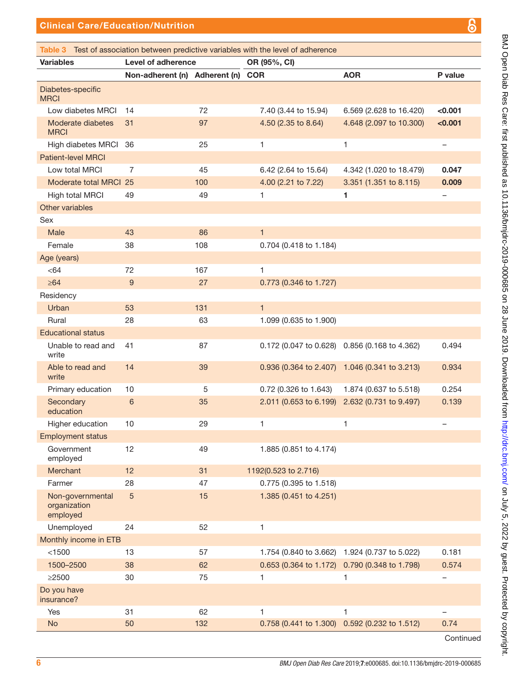| )かっか フジケ D^^ つっぴ firnt かこと                                                                                                                                                                                                               |  |
|------------------------------------------------------------------------------------------------------------------------------------------------------------------------------------------------------------------------------------------|--|
|                                                                                                                                                                                                                                          |  |
|                                                                                                                                                                                                                                          |  |
|                                                                                                                                                                                                                                          |  |
|                                                                                                                                                                                                                                          |  |
|                                                                                                                                                                                                                                          |  |
|                                                                                                                                                                                                                                          |  |
|                                                                                                                                                                                                                                          |  |
|                                                                                                                                                                                                                                          |  |
|                                                                                                                                                                                                                                          |  |
|                                                                                                                                                                                                                                          |  |
|                                                                                                                                                                                                                                          |  |
|                                                                                                                                                                                                                                          |  |
|                                                                                                                                                                                                                                          |  |
|                                                                                                                                                                                                                                          |  |
|                                                                                                                                                                                                                                          |  |
|                                                                                                                                                                                                                                          |  |
|                                                                                                                                                                                                                                          |  |
|                                                                                                                                                                                                                                          |  |
|                                                                                                                                                                                                                                          |  |
|                                                                                                                                                                                                                                          |  |
|                                                                                                                                                                                                                                          |  |
|                                                                                                                                                                                                                                          |  |
|                                                                                                                                                                                                                                          |  |
|                                                                                                                                                                                                                                          |  |
|                                                                                                                                                                                                                                          |  |
|                                                                                                                                                                                                                                          |  |
|                                                                                                                                                                                                                                          |  |
|                                                                                                                                                                                                                                          |  |
|                                                                                                                                                                                                                                          |  |
|                                                                                                                                                                                                                                          |  |
|                                                                                                                                                                                                                                          |  |
|                                                                                                                                                                                                                                          |  |
| -2010-00000000 11110-0110 L                                                                                                                                                                                                              |  |
|                                                                                                                                                                                                                                          |  |
|                                                                                                                                                                                                                                          |  |
|                                                                                                                                                                                                                                          |  |
| )                                                                                                                                                                                                                                        |  |
|                                                                                                                                                                                                                                          |  |
|                                                                                                                                                                                                                                          |  |
| Divid Charles Open State: This is the completed by the condoctor of the completed in the completed in the completed in the completed in the completed in the completed in the completed in the completed in the completed in t<br>;<br>} |  |
|                                                                                                                                                                                                                                          |  |
|                                                                                                                                                                                                                                          |  |
|                                                                                                                                                                                                                                          |  |
|                                                                                                                                                                                                                                          |  |
|                                                                                                                                                                                                                                          |  |
|                                                                                                                                                                                                                                          |  |
|                                                                                                                                                                                                                                          |  |
|                                                                                                                                                                                                                                          |  |
|                                                                                                                                                                                                                                          |  |
|                                                                                                                                                                                                                                          |  |
|                                                                                                                                                                                                                                          |  |
|                                                                                                                                                                                                                                          |  |
|                                                                                                                                                                                                                                          |  |
|                                                                                                                                                                                                                                          |  |
|                                                                                                                                                                                                                                          |  |
|                                                                                                                                                                                                                                          |  |
|                                                                                                                                                                                                                                          |  |
|                                                                                                                                                                                                                                          |  |
|                                                                                                                                                                                                                                          |  |
|                                                                                                                                                                                                                                          |  |
|                                                                                                                                                                                                                                          |  |
|                                                                                                                                                                                                                                          |  |
|                                                                                                                                                                                                                                          |  |
|                                                                                                                                                                                                                                          |  |
|                                                                                                                                                                                                                                          |  |
|                                                                                                                                                                                                                                          |  |

<span id="page-5-0"></span>

| Table 3                                       |                                   |              | Test of association between predictive variables with the level of adherence |                                               |                          |
|-----------------------------------------------|-----------------------------------|--------------|------------------------------------------------------------------------------|-----------------------------------------------|--------------------------|
| <b>Variables</b><br><b>Level of adherence</b> |                                   | OR (95%, CI) |                                                                              |                                               |                          |
|                                               | Non-adherent (n) Adherent (n) COR |              |                                                                              | <b>AOR</b>                                    | P value                  |
| Diabetes-specific<br><b>MRCI</b>              |                                   |              |                                                                              |                                               |                          |
| Low diabetes MRCI                             | 14                                | 72           | 7.40 (3.44 to 15.94)                                                         | 6.569 (2.628 to 16.420)                       | < 0.001                  |
| Moderate diabetes<br><b>MRCI</b>              | 31                                | 97           | 4.50 (2.35 to 8.64)                                                          | 4.648 (2.097 to 10.300)                       | < 0.001                  |
| High diabetes MRCI                            | 36                                | 25           | 1                                                                            | 1                                             | $\overline{\phantom{0}}$ |
| <b>Patient-level MRCI</b>                     |                                   |              |                                                                              |                                               |                          |
| Low total MRCI                                | $\overline{7}$                    | 45           | 6.42 (2.64 to 15.64)                                                         | 4.342 (1.020 to 18.479)                       | 0.047                    |
| Moderate total MRCI 25                        |                                   | 100          | 4.00 (2.21 to 7.22)                                                          | 3.351 (1.351 to 8.115)                        | 0.009                    |
| High total MRCI                               | 49                                | 49           | 1                                                                            | 1                                             | —                        |
| Other variables                               |                                   |              |                                                                              |                                               |                          |
| Sex                                           |                                   |              |                                                                              |                                               |                          |
| Male                                          | 43                                | 86           | $\mathbf{1}$                                                                 |                                               |                          |
| Female                                        | 38                                | 108          | 0.704 (0.418 to 1.184)                                                       |                                               |                          |
| Age (years)                                   |                                   |              |                                                                              |                                               |                          |
| < 64                                          | 72                                | 167          | 1                                                                            |                                               |                          |
| $\geq 64$                                     | 9                                 | 27           | 0.773 (0.346 to 1.727)                                                       |                                               |                          |
| Residency                                     |                                   |              |                                                                              |                                               |                          |
| Urban                                         | 53                                | 131          | $\mathbf{1}$                                                                 |                                               |                          |
| Rural                                         | 28                                | 63           | 1.099 (0.635 to 1.900)                                                       |                                               |                          |
| <b>Educational status</b>                     |                                   |              |                                                                              |                                               |                          |
| Unable to read and<br>write                   | 41                                | 87           | 0.172 (0.047 to 0.628)                                                       | 0.856 (0.168 to 4.362)                        | 0.494                    |
| Able to read and<br>write                     | 14                                | 39           | 0.936 (0.364 to 2.407)                                                       | 1.046 (0.341 to 3.213)                        | 0.934                    |
| Primary education                             | 10                                | 5            | 0.72 (0.326 to 1.643)                                                        | 1.874 (0.637 to 5.518)                        | 0.254                    |
| Secondary<br>education                        | 6                                 | 35           | 2.011 (0.653 to 6.199)                                                       | 2.632 (0.731 to 9.497)                        | 0.139                    |
| Higher education                              | 10                                | 29           | 1.                                                                           | 1.                                            |                          |
| <b>Employment status</b>                      |                                   |              |                                                                              |                                               |                          |
| Government<br>employed                        | 12                                | 49           | 1.885 (0.851 to 4.174)                                                       |                                               |                          |
| Merchant                                      | 12                                | 31           | 1192(0.523 to 2.716)                                                         |                                               |                          |
| Farmer                                        | 28                                | 47           | 0.775 (0.395 to 1.518)                                                       |                                               |                          |
| Non-governmental<br>organization<br>employed  | $\sqrt{5}$                        | 15           | 1.385 (0.451 to 4.251)                                                       |                                               |                          |
| Unemployed                                    | 24                                | 52           | 1                                                                            |                                               |                          |
| Monthly income in ETB                         |                                   |              |                                                                              |                                               |                          |
| < 1500                                        | 13                                | 57           |                                                                              | 1.754 (0.840 to 3.662) 1.924 (0.737 to 5.022) | 0.181                    |
| 1500-2500                                     | 38                                | 62           |                                                                              | 0.653 (0.364 to 1.172) 0.790 (0.348 to 1.798) | 0.574                    |
| $\geq$ 2500                                   | 30                                | 75           | 1                                                                            | 1                                             | $\overline{\phantom{0}}$ |
| Do you have<br>insurance?                     |                                   |              |                                                                              |                                               |                          |
| Yes                                           | 31                                | 62           | 1                                                                            | 1                                             | $\qquad \qquad -$        |
| <b>No</b>                                     | 50                                | 132          | 0.758 (0.441 to 1.300) 0.592 (0.232 to 1.512)                                |                                               | 0.74                     |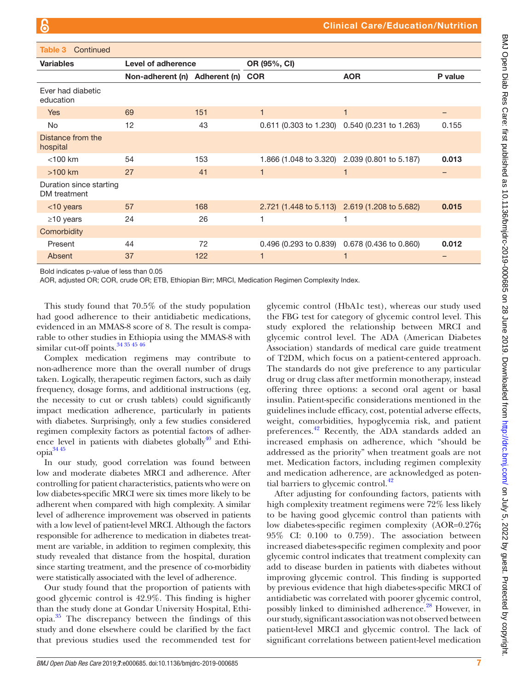| Continued<br>Table 3                    |                  |              |                        |                                               |         |
|-----------------------------------------|------------------|--------------|------------------------|-----------------------------------------------|---------|
| Level of adherence<br><b>Variables</b>  |                  | OR (95%, CI) |                        |                                               |         |
|                                         | Non-adherent (n) | Adherent (n) | <b>COR</b>             | <b>AOR</b>                                    | P value |
| Ever had diabetic<br>education          |                  |              |                        |                                               |         |
| Yes                                     | 69               | 151          | $\mathbf{1}$           | 1                                             |         |
| No                                      | 12               | 43           |                        | 0.611 (0.303 to 1.230) 0.540 (0.231 to 1.263) | 0.155   |
| Distance from the<br>hospital           |                  |              |                        |                                               |         |
| $<$ 100 km                              | 54               | 153          | 1.866 (1.048 to 3.320) | 2.039 (0.801 to 5.187)                        | 0.013   |
| $>100$ km                               | 27               | 41           | $\mathbf{1}$           | $\blacksquare$                                | -       |
| Duration since starting<br>DM treatment |                  |              |                        |                                               |         |
| <10 years                               | 57               | 168          |                        | 2.721 (1.448 to 5.113) 2.619 (1.208 to 5.682) | 0.015   |
| $\geq$ 10 years                         | 24               | 26           | 1                      |                                               |         |
| Comorbidity                             |                  |              |                        |                                               |         |
| Present                                 | 44               | 72           | 0.496 (0.293 to 0.839) | 0.678 (0.436 to 0.860)                        | 0.012   |
| Absent                                  | 37               | 122          | 1                      |                                               |         |

Bold indicates p-value of less than 0.05

AOR, adjusted OR; COR, crude OR; ETB, Ethiopian Birr; MRCI, Medication Regimen Complexity Index.

This study found that 70.5% of the study population had good adherence to their antidiabetic medications, evidenced in an MMAS-8 score of 8. The result is comparable to other studies in Ethiopia using the MMAS-8 with similar cut-off points.<sup>34 35 45 46</sup>

Complex medication regimens may contribute to non-adherence more than the overall number of drugs taken. Logically, therapeutic regimen factors, such as daily frequency, dosage forms, and additional instructions (eg, the necessity to cut or crush tablets) could significantly impact medication adherence, particularly in patients with diabetes. Surprisingly, only a few studies considered regimen complexity factors as potential factors of adherence level in patients with diabetes globally $40$  and Ethiopi[a34 45](#page-9-24)

In our study, good correlation was found between low and moderate diabetes MRCI and adherence. After controlling for patient characteristics, patients who were on low diabetes-specific MRCI were six times more likely to be adherent when compared with high complexity. A similar level of adherence improvement was observed in patients with a low level of patient-level MRCI. Although the factors responsible for adherence to medication in diabetes treatment are variable, in addition to regimen complexity, this study revealed that distance from the hospital, duration since starting treatment, and the presence of co-morbidity were statistically associated with the level of adherence.

Our study found that the proportion of patients with good glycemic control is 42.9%. This finding is higher than the study done at Gondar University Hospital, Ethiopia.[35](#page-9-15) The discrepancy between the findings of this study and done elsewhere could be clarified by the fact that previous studies used the recommended test for

glycemic control (HbA1c test), whereas our study used the FBG test for category of glycemic control level. This study explored the relationship between MRCI and glycemic control level. The ADA (American Diabetes Association) standards of medical care guide treatment of T2DM, which focus on a patient-centered approach. The standards do not give preference to any particular drug or drug class after metformin monotherapy, instead offering three options: a second oral agent or basal insulin. Patient-specific considerations mentioned in the guidelines include efficacy, cost, potential adverse effects, weight, comorbidities, hypoglycemia risk, and patient preferences.<sup>42</sup> Recently, the ADA standards added an increased emphasis on adherence, which "should be addressed as the priority" when treatment goals are not met. Medication factors, including regimen complexity and medication adherence, are acknowledged as poten-tial barriers to glycemic control.<sup>[42](#page-9-21)</sup>

After adjusting for confounding factors, patients with high complexity treatment regimens were 72% less likely to be having good glycemic control than patients with low diabetes-specific regimen complexity (AOR=0.276**;** 95% CI: 0.100 to 0.759). The association between increased diabetes-specific regimen complexity and poor glycemic control indicates that treatment complexity can add to disease burden in patients with diabetes without improving glycemic control. This finding is supported by previous evidence that high diabetes-specific MRCI of antidiabetic was correlated with poorer glycemic control, possibly linked to diminished adherence.<sup>28</sup> However, in our study, significant association was not observed between patient-level MRCI and glycemic control. The lack of significant correlations between patient-level medication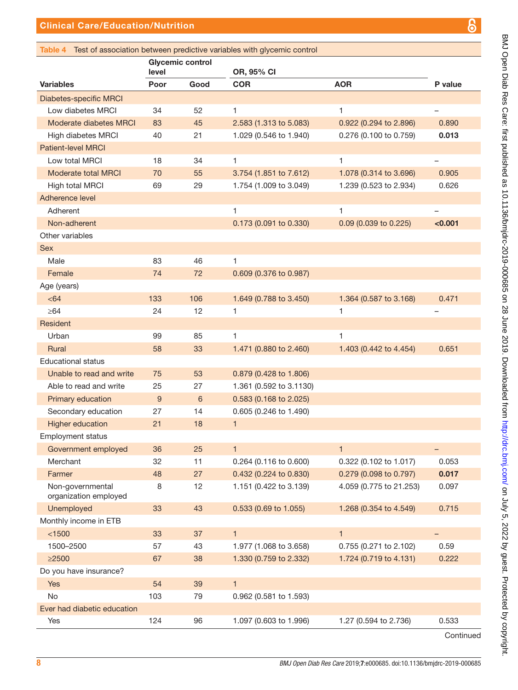|                                                                                                                | J                    |
|----------------------------------------------------------------------------------------------------------------|----------------------|
|                                                                                                                |                      |
|                                                                                                                |                      |
|                                                                                                                |                      |
|                                                                                                                |                      |
|                                                                                                                |                      |
|                                                                                                                | )<br> -              |
|                                                                                                                |                      |
|                                                                                                                | j                    |
|                                                                                                                |                      |
|                                                                                                                |                      |
|                                                                                                                |                      |
|                                                                                                                |                      |
|                                                                                                                |                      |
|                                                                                                                | ì                    |
|                                                                                                                |                      |
|                                                                                                                |                      |
|                                                                                                                |                      |
|                                                                                                                |                      |
|                                                                                                                |                      |
|                                                                                                                |                      |
|                                                                                                                |                      |
|                                                                                                                |                      |
|                                                                                                                | ֚֚֬                  |
|                                                                                                                |                      |
|                                                                                                                |                      |
|                                                                                                                |                      |
|                                                                                                                |                      |
|                                                                                                                |                      |
|                                                                                                                | .<br>∶<br>∶          |
|                                                                                                                |                      |
|                                                                                                                |                      |
|                                                                                                                | こいこと DNAのL ここ        |
|                                                                                                                |                      |
|                                                                                                                |                      |
|                                                                                                                |                      |
|                                                                                                                |                      |
|                                                                                                                |                      |
|                                                                                                                |                      |
|                                                                                                                |                      |
|                                                                                                                |                      |
|                                                                                                                | )                    |
|                                                                                                                |                      |
|                                                                                                                |                      |
|                                                                                                                |                      |
|                                                                                                                | $\ddot{\phantom{0}}$ |
|                                                                                                                |                      |
|                                                                                                                |                      |
|                                                                                                                |                      |
|                                                                                                                |                      |
|                                                                                                                |                      |
|                                                                                                                |                      |
|                                                                                                                |                      |
| נונים (בינים בינים) בינים המונים בינים המונים בינים בינים בינים בינים בינים בינים בינים בינים המונים בינים בינ |                      |
|                                                                                                                |                      |
|                                                                                                                |                      |
|                                                                                                                |                      |
|                                                                                                                |                      |
| n mon toes                                                                                                     |                      |
|                                                                                                                |                      |
|                                                                                                                |                      |
|                                                                                                                |                      |
|                                                                                                                |                      |
|                                                                                                                |                      |
|                                                                                                                |                      |
|                                                                                                                |                      |
|                                                                                                                |                      |
|                                                                                                                |                      |
|                                                                                                                |                      |
|                                                                                                                |                      |
|                                                                                                                |                      |
|                                                                                                                |                      |
|                                                                                                                | ı                    |
|                                                                                                                |                      |
|                                                                                                                |                      |
|                                                                                                                |                      |
|                                                                                                                |                      |
|                                                                                                                |                      |
|                                                                                                                |                      |
|                                                                                                                |                      |
|                                                                                                                |                      |
|                                                                                                                | ׇ֘֝֬֝                |
|                                                                                                                |                      |
|                                                                                                                |                      |
|                                                                                                                |                      |
|                                                                                                                |                      |
|                                                                                                                |                      |
|                                                                                                                |                      |
|                                                                                                                |                      |
|                                                                                                                |                      |
|                                                                                                                |                      |
|                                                                                                                |                      |

<span id="page-7-0"></span>

|                                           | <b>Glycemic control</b><br>level |      | OR, 95% CI              |                         |                          |
|-------------------------------------------|----------------------------------|------|-------------------------|-------------------------|--------------------------|
| <b>Variables</b>                          | Poor                             | Good | <b>COR</b>              | <b>AOR</b>              | P value                  |
| <b>Diabetes-specific MRCI</b>             |                                  |      |                         |                         |                          |
| Low diabetes MRCI                         | 34                               | 52   | 1                       | 1                       |                          |
| Moderate diabetes MRCI                    | 83                               | 45   | 2.583 (1.313 to 5.083)  | 0.922 (0.294 to 2.896)  | 0.890                    |
| High diabetes MRCI                        | 40                               | 21   | 1.029 (0.546 to 1.940)  | 0.276 (0.100 to 0.759)  | 0.013                    |
| <b>Patient-level MRCI</b>                 |                                  |      |                         |                         |                          |
| Low total MRCI                            | 18                               | 34   | 1                       | 1                       | $\overline{\phantom{0}}$ |
| Moderate total MRCI                       | 70                               | 55   | 3.754 (1.851 to 7.612)  | 1.078 (0.314 to 3.696)  | 0.905                    |
| High total MRCI                           | 69                               | 29   | 1.754 (1.009 to 3.049)  | 1.239 (0.523 to 2.934)  | 0.626                    |
| Adherence level                           |                                  |      |                         |                         |                          |
| Adherent                                  |                                  |      | 1                       | 1                       |                          |
| Non-adherent                              |                                  |      | 0.173 (0.091 to 0.330)  | 0.09 (0.039 to 0.225)   | < 0.001                  |
| Other variables                           |                                  |      |                         |                         |                          |
| <b>Sex</b>                                |                                  |      |                         |                         |                          |
| Male                                      | 83                               | 46   | 1                       |                         |                          |
| Female                                    | 74                               | 72   | 0.609 (0.376 to 0.987)  |                         |                          |
| Age (years)                               |                                  |      |                         |                         |                          |
| < 64                                      | 133                              | 106  | 1.649 (0.788 to 3.450)  | 1.364 (0.587 to 3.168)  | 0.471                    |
| $\geq 64$                                 | 24                               | 12   | 1                       | 1                       |                          |
| Resident                                  |                                  |      |                         |                         |                          |
| Urban                                     | 99                               | 85   | 1                       | 1                       |                          |
| Rural                                     | 58                               | 33   | 1.471 (0.880 to 2.460)  | 1.403 (0.442 to 4.454)  | 0.651                    |
| <b>Educational status</b>                 |                                  |      |                         |                         |                          |
| Unable to read and write                  | 75                               | 53   | 0.879 (0.428 to 1.806)  |                         |                          |
| Able to read and write                    | 25                               | 27   | 1.361 (0.592 to 3.1130) |                         |                          |
| Primary education                         | 9                                | 6    | 0.583 (0.168 to 2.025)  |                         |                          |
| Secondary education                       | 27                               | 14   | 0.605 (0.246 to 1.490)  |                         |                          |
| <b>Higher education</b>                   | 21                               | 18   | $\mathbf{1}$            |                         |                          |
| <b>Employment status</b>                  |                                  |      |                         |                         |                          |
| Government employed                       | 36                               | 25   | $\mathbf{1}$            | $\mathbf{1}$            | $\qquad \qquad -$        |
| Merchant                                  | 32                               | 11   | 0.264 (0.116 to 0.600)  | 0.322 (0.102 to 1.017)  | 0.053                    |
| Farmer                                    | 48                               | 27   | 0.432 (0.224 to 0.830)  | 0.279 (0.098 to 0.797)  | 0.017                    |
| Non-governmental<br>organization employed | 8                                | 12   | 1.151 (0.422 to 3.139)  | 4.059 (0.775 to 21.253) | 0.097                    |
| Unemployed                                | 33                               | 43   | 0.533 (0.69 to 1.055)   | 1.268 (0.354 to 4.549)  | 0.715                    |
| Monthly income in ETB                     |                                  |      |                         |                         |                          |
| < 1500                                    | 33                               | 37   | $\mathbf{1}$            | $\mathbf{1}$            |                          |
| 1500-2500                                 | 57                               | 43   | 1.977 (1.068 to 3.658)  | 0.755 (0.271 to 2.102)  | 0.59                     |
| $\geq$ 2500                               | 67                               | 38   | 1.330 (0.759 to 2.332)  | 1.724 (0.719 to 4.131)  | 0.222                    |
| Do you have insurance?                    |                                  |      |                         |                         |                          |
| Yes                                       | 54                               | 39   | $\mathbf{1}$            |                         |                          |
| No                                        | 103                              | 79   | 0.962 (0.581 to 1.593)  |                         |                          |
| Ever had diabetic education               |                                  |      |                         |                         |                          |
| Yes                                       | 124                              | 96   | 1.097 (0.603 to 1.996)  | 1.27 (0.594 to 2.736)   | 0.533                    |

Continued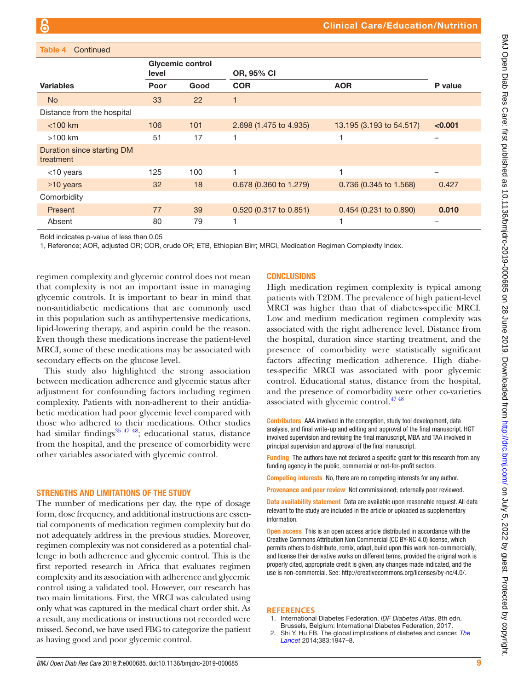| Continued<br>Table 4                    |                                                       |      |                        |                          |         |  |
|-----------------------------------------|-------------------------------------------------------|------|------------------------|--------------------------|---------|--|
|                                         | <b>Glycemic control</b><br><b>OR, 95% CI</b><br>level |      |                        |                          |         |  |
| <b>Variables</b>                        | Poor                                                  | Good | <b>COR</b>             | <b>AOR</b>               | P value |  |
| <b>No</b>                               | 33                                                    | 22   | 1                      |                          |         |  |
| Distance from the hospital              |                                                       |      |                        |                          |         |  |
| $<$ 100 km                              | 106                                                   | 101  | 2.698 (1.475 to 4.935) | 13.195 (3.193 to 54.517) | < 0.001 |  |
| $>100$ km                               | 51                                                    | 17   |                        |                          |         |  |
| Duration since starting DM<br>treatment |                                                       |      |                        |                          |         |  |
| <10 years                               | 125                                                   | 100  |                        | 1                        |         |  |
| $\geq$ 10 years                         | 32                                                    | 18   | 0.678 (0.360 to 1.279) | 0.736 (0.345 to 1.568)   | 0.427   |  |
| Comorbidity                             |                                                       |      |                        |                          |         |  |
| Present                                 | 77                                                    | 39   | 0.520 (0.317 to 0.851) | 0.454 (0.231 to 0.890)   | 0.010   |  |
| Absent                                  | 80                                                    | 79   |                        |                          |         |  |

Bold indicates p-value of less than 0.05

1, Reference; AOR, adjusted OR; COR, crude OR; ETB, Ethiopian Birr; MRCI, Medication Regimen Complexity Index.

regimen complexity and glycemic control does not mean that complexity is not an important issue in managing glycemic controls. It is important to bear in mind that non-antidiabetic medications that are commonly used in this population such as antihypertensive medications, lipid-lowering therapy, and aspirin could be the reason. Even though these medications increase the patient-level MRCI, some of these medications may be associated with secondary effects on the glucose level.

This study also highlighted the strong association between medication adherence and glycemic status after adjustment for confounding factors including regimen complexity. Patients with non-adherent to their antidiabetic medication had poor glycemic level compared with those who adhered to their medications. Other studies had similar findings $^{35}$   $^{47}$   $^{48}$ ; educational status, distance from the hospital, and the presence of comorbidity were other variables associated with glycemic control.

# Strengths and limitations of the study

The number of medications per day, the type of dosage form, dose frequency, and additional instructions are essential components of medication regimen complexity but do not adequately address in the previous studies. Moreover, regimen complexity was not considered as a potential challenge in both adherence and glycemic control. This is the first reported research in Africa that evaluates regimen complexity and its association with adherence and glycemic control using a validated tool. However, our research has two main limitations. First, the MRCI was calculated using only what was captured in the medical chart order shit. As a result, any medications or instructions not recorded were missed. Second, we have used FBG to categorize the patient as having good and poor glycemic control.

# **CONCLUSIONS**

High medication regimen complexity is typical among patients with T2DM. The prevalence of high patient-level MRCI was higher than that of diabetes-specific MRCI. Low and medium medication regimen complexity was associated with the right adherence level. Distance from the hospital, duration since starting treatment, and the presence of comorbidity were statistically significant factors affecting medication adherence. High diabetes-specific MRCI was associated with poor glycemic control. Educational status, distance from the hospital, and the presence of comorbidity were other co-varieties associated with glycemic control.[47 48](#page-9-25)

Contributors AAA involved in the conception, study tool development, data analysis, and final write-up and editing and approval of the final manuscript. HGT involved supervision and revising the final manuscript, MBA and TAA involved in principal supervision and approval of the final manuscript.

Funding The authors have not declared a specific grant for this research from any funding agency in the public, commercial or not-for-profit sectors.

Competing interests No, there are no competing interests for any author.

Provenance and peer review Not commissioned; externally peer reviewed.

Data availability statement Data are available upon reasonable request. All data relevant to the study are included in the article or uploaded as supplementary information.

**Open access** This is an open access article distributed in accordance with the Creative Commons Attribution Non Commercial (CC BY-NC 4.0) license, which permits others to distribute, remix, adapt, build upon this work non-commercially, and license their derivative works on different terms, provided the original work is properly cited, appropriate credit is given, any changes made indicated, and the use is non-commercial. See:<http://creativecommons.org/licenses/by-nc/4.0/>.

# **References**

- <span id="page-8-0"></span>1. International Diabetes Federation. *IDF Diabetes Atlas*. 8th edn. Brussels, Belgium: International Diabetes Federation, 2017.
- 2. Shi Y, Hu FB. The global implications of diabetes and cancer. *[The](http://dx.doi.org/10.1016/S0140-6736(14)60886-2)  [Lancet](http://dx.doi.org/10.1016/S0140-6736(14)60886-2)* 2014;383:1947–8.